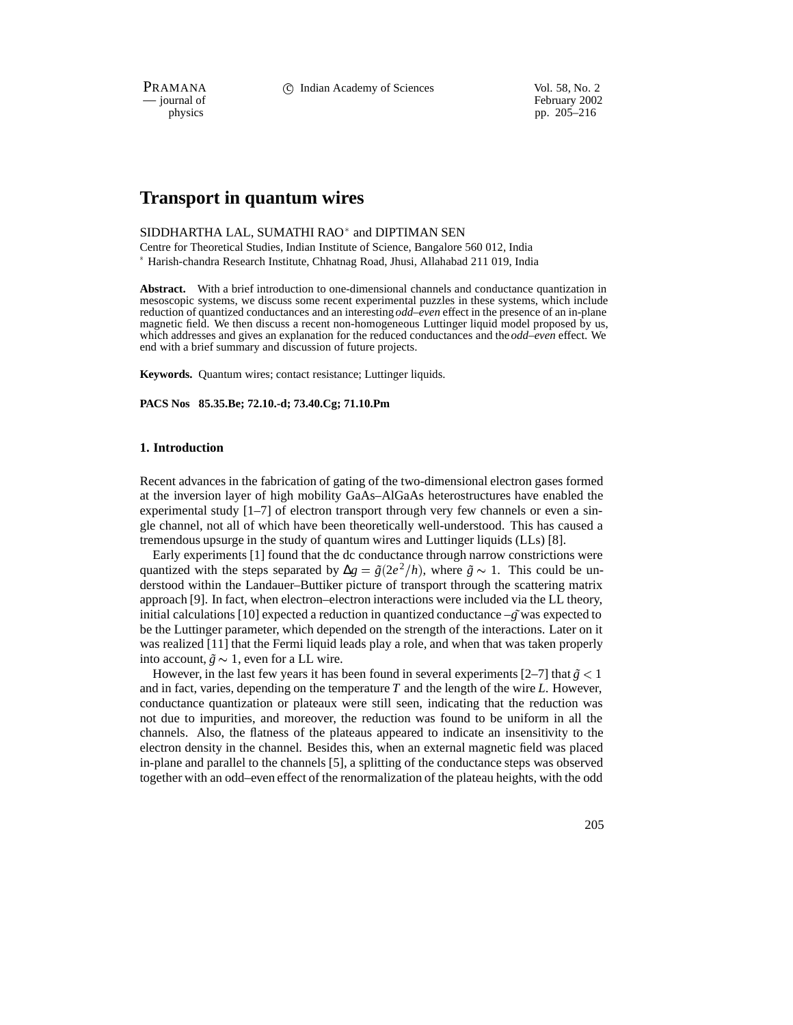PRAMANA 
<sup>C</sup> Indian Academy of Sciences Vol. 58, No. 2<br>
— iournal of February 2002

physics<br>
physics<br>
pp. 205–216<br>
pp. 205–216 pp.  $205-216$ 

# **Transport in quantum wires**

#### ${\rm SIDDHARTHA}$   ${\rm LAL}$ ,  ${\rm SUMATHI}$   ${\rm RAO}^*$  and  ${\rm DIPTIMAN}$   ${\rm SEN}$

Centre for Theoretical Studies, Indian Institute of Science, Bangalore 560 012, India Harish-chandra Research Institute, Chhatnag Road, Jhusi, Allahabad 211 019, India

**Abstract.** With a brief introduction to one-dimensional channels and conductance quantization in mesoscopic systems, we discuss some recent experimental puzzles in these systems, which include reduction of quantized conductances and an interesting *odd–even* effect in the presence of an in-plane magnetic field. We then discuss a recent non-homogeneous Luttinger liquid model proposed by us, which addresses and gives an explanation for the reduced conductances and the*odd–even* effect. We end with a brief summary and discussion of future projects.

**Keywords.** Quantum wires; contact resistance; Luttinger liquids.

**PACS Nos 85.35.Be; 72.10.-d; 73.40.Cg; 71.10.Pm**

# **1. Introduction**

Recent advances in the fabrication of gating of the two-dimensional electron gases formed at the inversion layer of high mobility GaAs–AlGaAs heterostructures have enabled the experimental study  $[1–7]$  of electron transport through very few channels or even a single channel, not all of which have been theoretically well-understood. This has caused a tremendous upsurge in the study of quantum wires and Luttinger liquids (LLs) [8].

Early experiments [1] found that the dc conductance through narrow constrictions were quantized with the steps separated by  $\Delta g = \tilde{g}(2e^2/h)$ , where  $\tilde{g} \sim 1$ . This could be understood within the Landauer–Buttiker picture of transport through the scattering matrix approach [9]. In fact, when electron–electron interactions were included via the LL theory, initial calculations [10] expected a reduction in quantized conductance  $-\tilde{g}$  was expected to be the Luttinger parameter, which depended on the strength of the interactions. Later on it was realized [11] that the Fermi liquid leads play a role, and when that was taken properly into account,  $\tilde{g} \sim 1$ , even for a LL wire.

However, in the last few years it has been found in several experiments  $[2-7]$  that  $\tilde{g} < 1$ and in fact, varies, depending on the temperature *T* and the length of the wire *L*. However, conductance quantization or plateaux were still seen, indicating that the reduction was not due to impurities, and moreover, the reduction was found to be uniform in all the channels. Also, the flatness of the plateaus appeared to indicate an insensitivity to the electron density in the channel. Besides this, when an external magnetic field was placed in-plane and parallel to the channels [5], a splitting of the conductance steps was observed together with an odd–even effect of the renormalization of the plateau heights, with the odd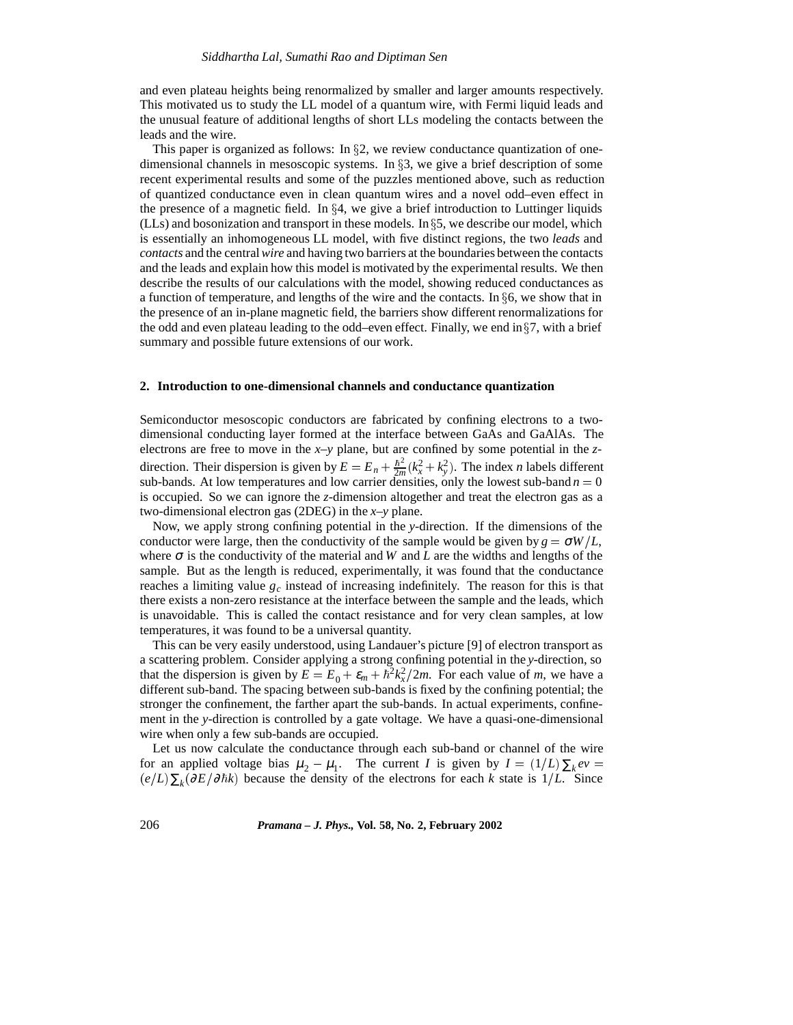and even plateau heights being renormalized by smaller and larger amounts respectively. This motivated us to study the LL model of a quantum wire, with Fermi liquid leads and the unusual feature of additional lengths of short LLs modeling the contacts between the leads and the wire.

This paper is organized as follows: In  $\S2$ , we review conductance quantization of onedimensional channels in mesoscopic systems. In  $\S$ 3, we give a brief description of some recent experimental results and some of the puzzles mentioned above, such as reduction of quantized conductance even in clean quantum wires and a novel odd–even effect in the presence of a magnetic field. In  $\S 4$ , we give a brief introduction to Luttinger liquids (LLs) and bosonization and transport in these models. In  $\S$ 5, we describe our model, which is essentially an inhomogeneous LL model, with five distinct regions, the two *leads* and *contacts* and the central*wire* and having two barriers at the boundaries between the contacts and the leads and explain how this model is motivated by the experimental results. We then describe the results of our calculations with the model, showing reduced conductances as a function of temperature, and lengths of the wire and the contacts. In  $\S6$ , we show that in the presence of an in-plane magnetic field, the barriers show different renormalizations for the odd and even plateau leading to the odd–even effect. Finally, we end in  $\S7$ , with a brief summary and possible future extensions of our work.

#### **2. Introduction to one-dimensional channels and conductance quantization**

Semiconductor mesoscopic conductors are fabricated by confining electrons to a twodimensional conducting layer formed at the interface between GaAs and GaAlAs. The electrons are free to move in the  $x$ –*y* plane, but are confined by some potential in the  $z$ direction. Their dispersion is given by  $E = E_n + \frac{\hbar^2}{2m} (k_x^2 + k_y^2)$ . The index *n* labels different sub-bands. At low temperatures and low carrier densities, only the lowest sub-band  $n = 0$ is occupied. So we can ignore the *z*-dimension altogether and treat the electron gas as a two-dimensional electron gas (2DEG) in the *x*–*y* plane.

Now, we apply strong confining potential in the *y*-direction. If the dimensions of the conductor were large, then the conductivity of the sample would be given by  $g = \sigma W/L$ , where  $\sigma$  is the conductivity of the material and *W* and *L* are the widths and lengths of the sample. But as the length is reduced, experimentally, it was found that the conductance reaches a limiting value *gc* instead of increasing indefinitely. The reason for this is that there exists a non-zero resistance at the interface between the sample and the leads, which is unavoidable. This is called the contact resistance and for very clean samples, at low temperatures, it was found to be a universal quantity.

This can be very easily understood, using Landauer's picture [9] of electron transport as a scattering problem. Consider applying a strong confining potential in the *y*-direction, so that the dispersion is given by  $E = E_0 + \varepsilon_m + \hbar^2 k_x^2 / 2m$ . For each value of *m*, we have a different sub-band. The spacing between sub-bands is fixed by the confining potential; the stronger the confinement, the farther apart the sub-bands. In actual experiments, confinement in the *y*-direction is controlled by a gate voltage. We have a quasi-one-dimensional wire when only a few sub-bands are occupied.

Let us now calculate the conductance through each sub-band or channel of the wire for an applied voltage bias  $\mu_2 - \mu_1$ . The current *I* is given by  $I = (1/L) \sum_k ev =$  $(e/L) \sum_k (\partial E/\partial \hbar k)$  because the density of the electrons for each *k* state is 1/*L*. Since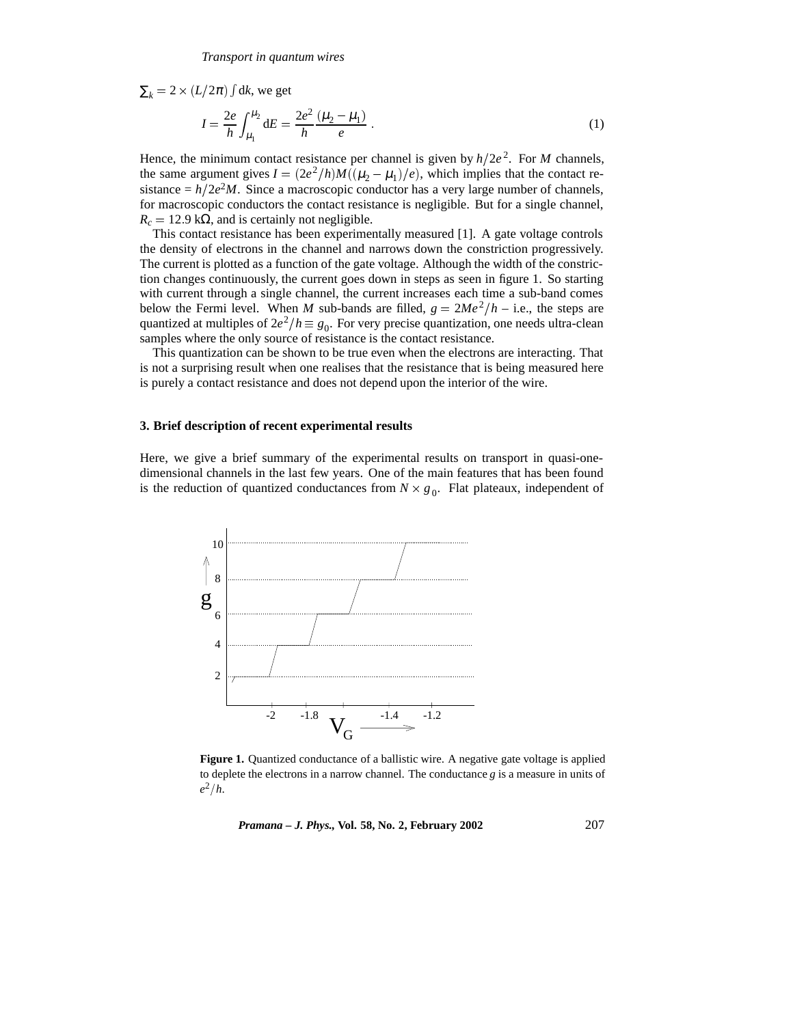$$
\Sigma_k = 2 \times (L/2\pi) \int dk
$$
, we get

$$
I = \frac{2e}{h} \int_{\mu_1}^{\mu_2} dE = \frac{2e^2}{h} \frac{(\mu_2 - \mu_1)}{e} \,. \tag{1}
$$

Hence, the minimum contact resistance per channel is given by  $h/2e^2$ . For *M* channels, the same argument gives  $I = (2e^2/h)M((\mu_2 - \mu_1)/e)$ , which implies that the contact resistance =  $h/2e^2M$ . Since a macroscopic conductor has a very large number of channels, for macroscopic conductors the contact resistance is negligible. But for a single channel,  $R_c = 12.9 \text{ k}\Omega$ , and is certainly not negligible.

This contact resistance has been experimentally measured [1]. A gate voltage controls the density of electrons in the channel and narrows down the constriction progressively. The current is plotted as a function of the gate voltage. Although the width of the constriction changes continuously, the current goes down in steps as seen in figure 1. So starting with current through a single channel, the current increases each time a sub-band comes below the Fermi level. When *M* sub-bands are filled,  $g = 2Me^2/h$  – i.e., the steps are quantized at multiples of  $2e^2/h \equiv g_0$ . For very precise quantization, one needs ultra-clean samples where the only source of resistance is the contact resistance.

This quantization can be shown to be true even when the electrons are interacting. That is not a surprising result when one realises that the resistance that is being measured here is purely a contact resistance and does not depend upon the interior of the wire.

# **3. Brief description of recent experimental results**

Here, we give a brief summary of the experimental results on transport in quasi-onedimensional channels in the last few years. One of the main features that has been found is the reduction of quantized conductances from  $N \times g_0$ . Flat plateaux, independent of



Figure 1. Quantized conductance of a ballistic wire. A negative gate voltage is applied to deplete the electrons in a narrow channel. The conductance *g* is a measure in units of  $e^2/h$ .

*Pramana – J. Phys.,* **Vol. 58, No. 2, February 2002** 207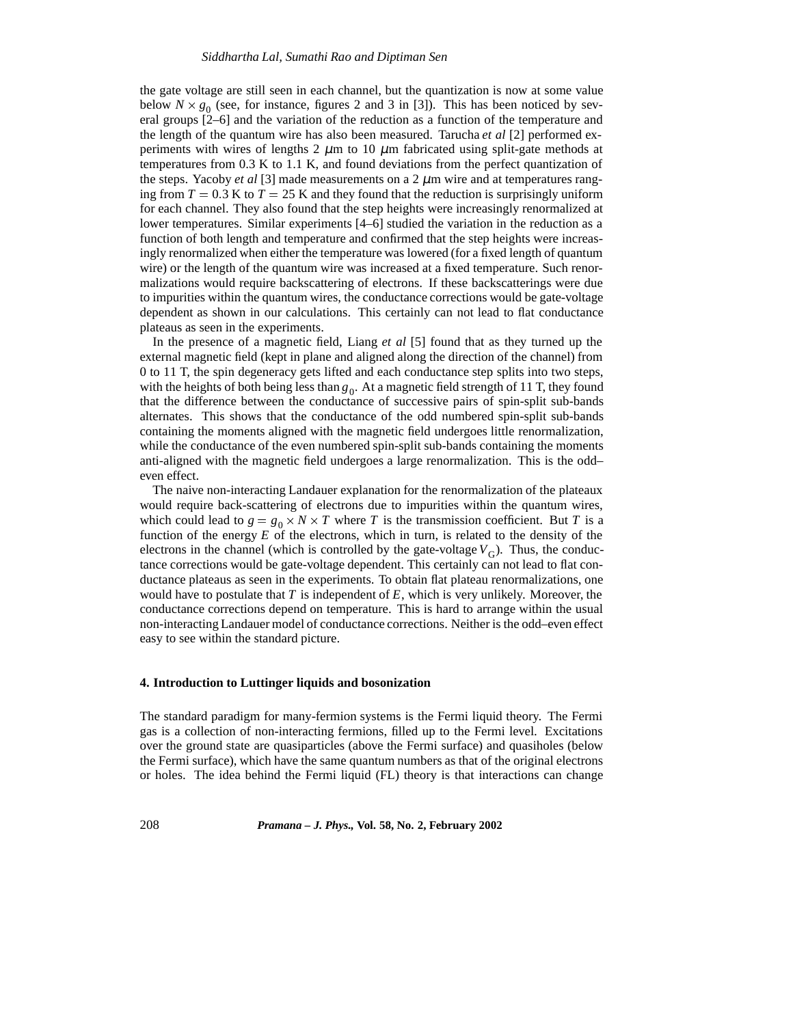the gate voltage are still seen in each channel, but the quantization is now at some value below  $N \times g_0$  (see, for instance, figures 2 and 3 in [3]). This has been noticed by several groups [2–6] and the variation of the reduction as a function of the temperature and the length of the quantum wire has also been measured. Tarucha *et al* [2] performed experiments with wires of lengths 2  $\mu$ m to 10  $\mu$ m fabricated using split-gate methods at temperatures from 0.3 K to 1.1 K, and found deviations from the perfect quantization of the steps. Yacoby *et al* [3] made measurements on a 2  $\mu$ m wire and at temperatures ranging from  $T = 0.3$  K to  $T = 25$  K and they found that the reduction is surprisingly uniform for each channel. They also found that the step heights were increasingly renormalized at lower temperatures. Similar experiments [4–6] studied the variation in the reduction as a function of both length and temperature and confirmed that the step heights were increasingly renormalized when either the temperature was lowered (for a fixed length of quantum wire) or the length of the quantum wire was increased at a fixed temperature. Such renormalizations would require backscattering of electrons. If these backscatterings were due to impurities within the quantum wires, the conductance corrections would be gate-voltage dependent as shown in our calculations. This certainly can not lead to flat conductance plateaus as seen in the experiments.

In the presence of a magnetic field, Liang *et al* [5] found that as they turned up the external magnetic field (kept in plane and aligned along the direction of the channel) from 0 to 11 T, the spin degeneracy gets lifted and each conductance step splits into two steps, with the heights of both being less than  $g_0$ . At a magnetic field strength of 11 T, they found that the difference between the conductance of successive pairs of spin-split sub-bands alternates. This shows that the conductance of the odd numbered spin-split sub-bands containing the moments aligned with the magnetic field undergoes little renormalization, while the conductance of the even numbered spin-split sub-bands containing the moments anti-aligned with the magnetic field undergoes a large renormalization. This is the odd– even effect.

The naive non-interacting Landauer explanation for the renormalization of the plateaux would require back-scattering of electrons due to impurities within the quantum wires, which could lead to  $g = g_0 \times N \times T$  where *T* is the transmission coefficient. But *T* is a function of the energy *E* of the electrons, which in turn, is related to the density of the electrons in the channel (which is controlled by the gate-voltage  $V_G$ ). Thus, the conductance corrections would be gate-voltage dependent. This certainly can not lead to flat conductance plateaus as seen in the experiments. To obtain flat plateau renormalizations, one would have to postulate that *T* is independent of *E*, which is very unlikely. Moreover, the conductance corrections depend on temperature. This is hard to arrange within the usual non-interacting Landauer model of conductance corrections. Neither is the odd–even effect easy to see within the standard picture.

# **4. Introduction to Luttinger liquids and bosonization**

The standard paradigm for many-fermion systems is the Fermi liquid theory. The Fermi gas is a collection of non-interacting fermions, filled up to the Fermi level. Excitations over the ground state are quasiparticles (above the Fermi surface) and quasiholes (below the Fermi surface), which have the same quantum numbers as that of the original electrons or holes. The idea behind the Fermi liquid (FL) theory is that interactions can change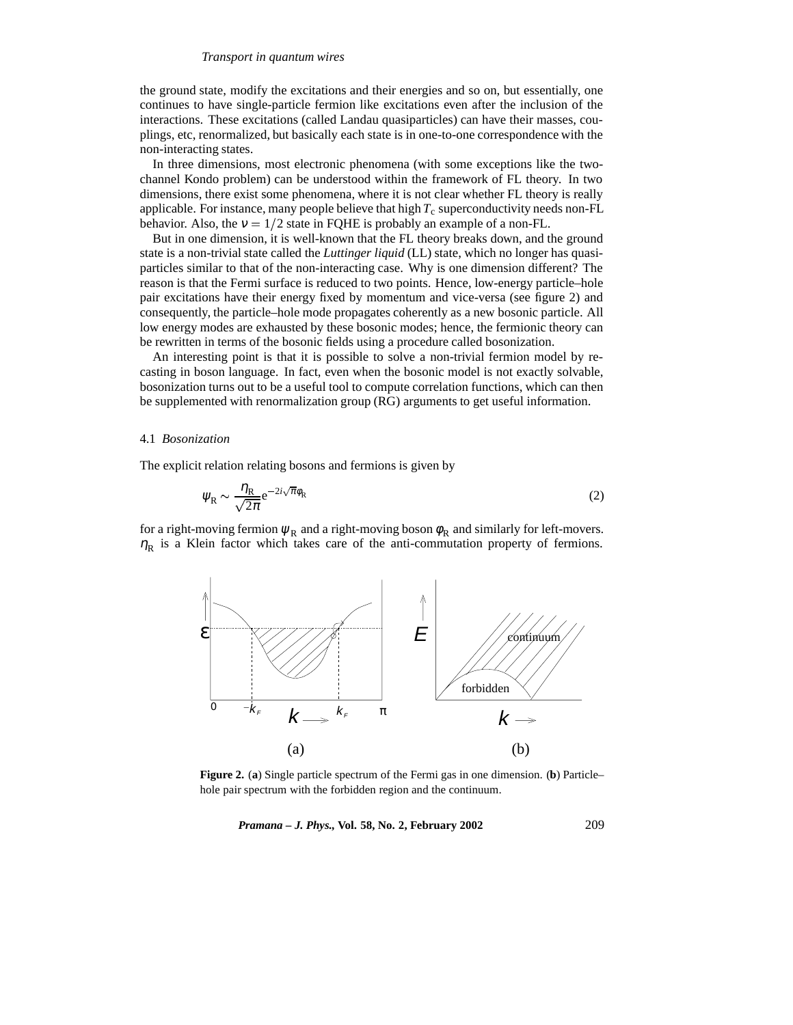the ground state, modify the excitations and their energies and so on, but essentially, one continues to have single-particle fermion like excitations even after the inclusion of the interactions. These excitations (called Landau quasiparticles) can have their masses, couplings, etc, renormalized, but basically each state is in one-to-one correspondence with the non-interacting states.

In three dimensions, most electronic phenomena (with some exceptions like the twochannel Kondo problem) can be understood within the framework of FL theory. In two dimensions, there exist some phenomena, where it is not clear whether FL theory is really applicable. For instance, many people believe that high  $T_c$  superconductivity needs non-FL behavior. Also, the  $v = 1/2$  state in FQHE is probably an example of a non-FL.

But in one dimension, it is well-known that the FL theory breaks down, and the ground state is a non-trivial state called the *Luttinger liquid* (LL) state, which no longer has quasiparticles similar to that of the non-interacting case. Why is one dimension different? The reason is that the Fermi surface is reduced to two points. Hence, low-energy particle–hole pair excitations have their energy fixed by momentum and vice-versa (see figure 2) and consequently, the particle–hole mode propagates coherently as a new bosonic particle. All low energy modes are exhausted by these bosonic modes; hence, the fermionic theory can be rewritten in terms of the bosonic fields using a procedure called bosonization.

An interesting point is that it is possible to solve a non-trivial fermion model by recasting in boson language. In fact, even when the bosonic model is not exactly solvable, bosonization turns out to be a useful tool to compute correlation functions, which can then be supplemented with renormalization group (RG) arguments to get useful information.

#### 4.1 *Bosonization*

The explicit relation relating bosons and fermions is given by

$$
\psi_{\rm R} \sim \frac{\eta_{\rm R}}{\sqrt{2\pi}} e^{-2i\sqrt{\pi}\phi_{\rm R}}
$$
 (2)

for a right-moving fermion  $\psi_R$  and a right-moving boson  $\phi_R$  and similarly for left-movers.  $\eta_R$  is a Klein factor which takes care of the anti-commutation property of fermions.



**Figure 2.** (**a**) Single particle spectrum of the Fermi gas in one dimension. (**b**) Particle– hole pair spectrum with the forbidden region and the continuum.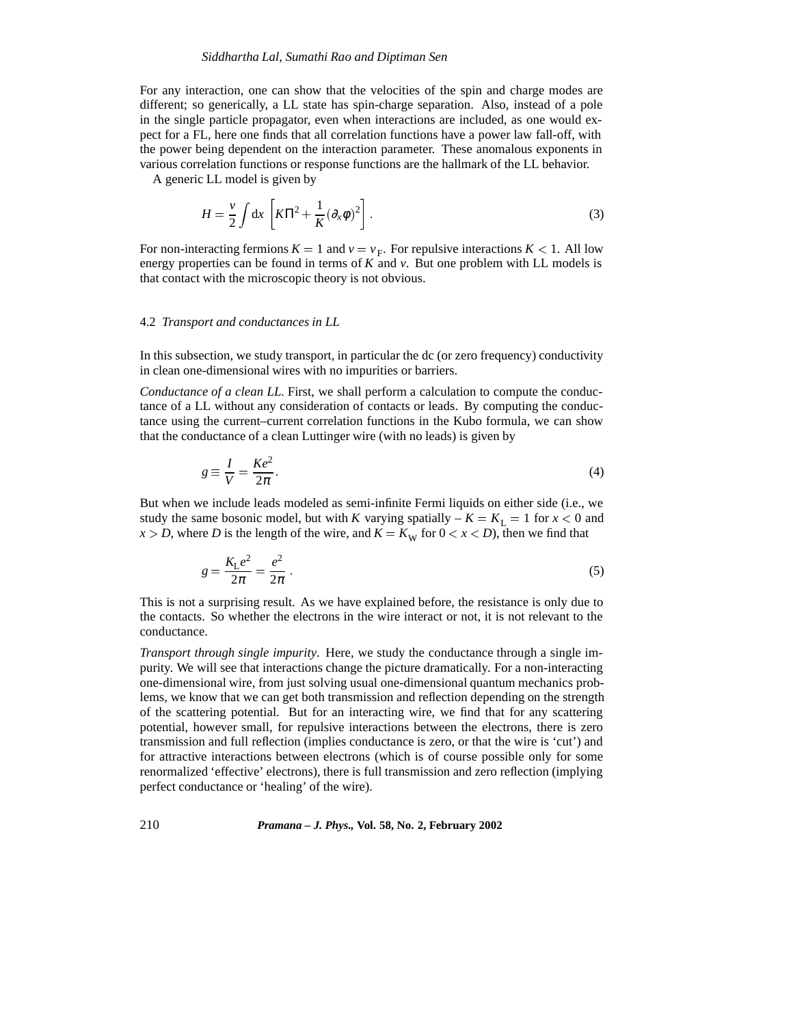#### *Siddhartha Lal, Sumathi Rao and Diptiman Sen*

For any interaction, one can show that the velocities of the spin and charge modes are different; so generically, a LL state has spin-charge separation. Also, instead of a pole in the single particle propagator, even when interactions are included, as one would expect for a FL, here one finds that all correlation functions have a power law fall-off, with the power being dependent on the interaction parameter. These anomalous exponents in various correlation functions or response functions are the hallmark of the LL behavior.

A generic LL model is given by

$$
H = \frac{\nu}{2} \int dx \left[ K \Pi^2 + \frac{1}{K} (\partial_x \phi)^2 \right].
$$
 (3)

For non-interacting fermions  $K = 1$  and  $v = v<sub>F</sub>$ . For repulsive interactions  $K < 1$ . All low energy properties can be found in terms of  $K$  and  $\nu$ . But one problem with LL models is that contact with the microscopic theory is not obvious.

# 4.2 *Transport and conductances in LL*

In this subsection, we study transport, in particular the dc (or zero frequency) conductivity in clean one-dimensional wires with no impurities or barriers.

*Conductance of a clean LL.* First, we shall perform a calculation to compute the conductance of a LL without any consideration of contacts or leads. By computing the conductance using the current–current correlation functions in the Kubo formula, we can show that the conductance of a clean Luttinger wire (with no leads) is given by

$$
g \equiv \frac{I}{V} = \frac{Ke^2}{2\pi}.
$$
\n<sup>(4)</sup>

But when we include leads modeled as semi-infinite Fermi liquids on either side (i.e., we study the same bosonic model, but with *K* varying spatially  $-K = K_L = 1$  for  $x < 0$  and  $x > D$ , where *D* is the length of the wire, and  $K = K_W$  for  $0 < x < D$ ), then we find that

$$
g = \frac{K_{\rm L}e^2}{2\pi} = \frac{e^2}{2\pi} \tag{5}
$$

This is not a surprising result. As we have explained before, the resistance is only due to the contacts. So whether the electrons in the wire interact or not, it is not relevant to the conductance.

*Transport through single impurity*. Here, we study the conductance through a single impurity. We will see that interactions change the picture dramatically. For a non-interacting one-dimensional wire, from just solving usual one-dimensional quantum mechanics problems, we know that we can get both transmission and reflection depending on the strength of the scattering potential. But for an interacting wire, we find that for any scattering potential, however small, for repulsive interactions between the electrons, there is zero transmission and full reflection (implies conductance is zero, or that the wire is 'cut') and for attractive interactions between electrons (which is of course possible only for some renormalized 'effective' electrons), there is full transmission and zero reflection (implying perfect conductance or 'healing' of the wire).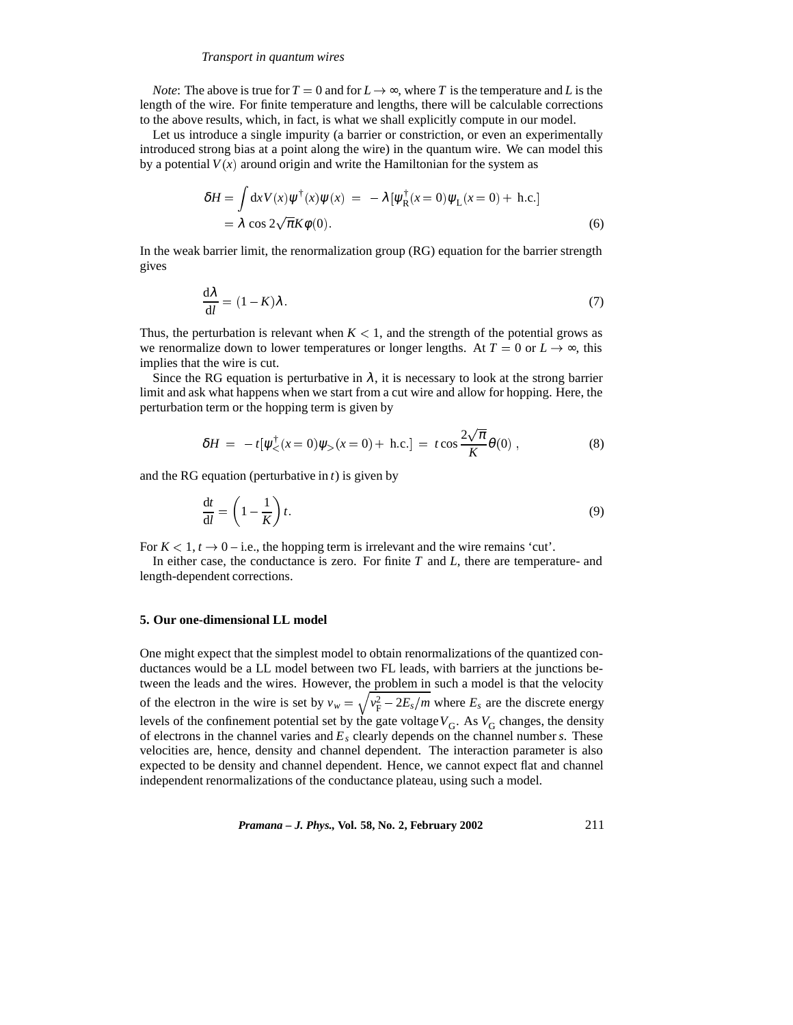*Note*: The above is true for  $T = 0$  and for  $L \rightarrow \infty$ , where *T* is the temperature and *L* is the length of the wire. For finite temperature and lengths, there will be calculable corrections to the above results, which, in fact, is what we shall explicitly compute in our model.

Let us introduce a single impurity (a barrier or constriction, or even an experimentally introduced strong bias at a point along the wire) in the quantum wire. We can model this by a potential  $V(x)$  around origin and write the Hamiltonian for the system as

$$
\delta H = \int dx V(x) \psi^{\dagger}(x) \psi(x) = -\lambda [\psi^{\dagger}_{R}(x=0) \psi_{L}(x=0) + \text{h.c.}]
$$
  
=  $\lambda \cos 2\sqrt{\pi} K \phi(0).$  (6)

In the weak barrier limit, the renormalization group (RG) equation for the barrier strength gives

$$
\frac{\mathrm{d}\lambda}{\mathrm{d}l} = (1 - K)\lambda. \tag{7}
$$

Thus, the perturbation is relevant when  $K < 1$ , and the strength of the potential grows as we renormalize down to lower temperatures or longer lengths. At  $T = 0$  or  $L \rightarrow \infty$ , this implies that the wire is cut.

Since the RG equation is perturbative in  $\lambda$ , it is necessary to look at the strong barrier limit and ask what happens when we start from a cut wire and allow for hopping. Here, the perturbation term or the hopping term is given by

$$
\delta H = -t[\psi^{\dagger}_{\le}(x=0)\psi_{>}(x=0) + \text{h.c.}] = t \cos \frac{2\sqrt{\pi}}{K} \theta(0) , \qquad (8)
$$

and the RG equation (perturbative in *t*) is given by

$$
\frac{\mathrm{d}t}{\mathrm{d}l} = \left(1 - \frac{1}{K}\right)t.\tag{9}
$$

For  $K < 1$ ,  $t \to 0$  – i.e., the hopping term is irrelevant and the wire remains 'cut'.

In either case, the conductance is zero. For finite *T* and *L*, there are temperature- and length-dependent corrections.

#### **5. Our one-dimensional LL model**

One might expect that the simplest model to obtain renormalizations of the quantized conductances would be a LL model between two FL leads, with barriers at the junctions between the leads and the wires. However, the problem in such a model is that the velocity of the electron in the wire is set by  $v_w = \sqrt{v_F^2 - 2E_s/m}$  where  $E_s$  are the discrete energy levels of the confinement potential set by the gate voltage  $V_G$ . As  $V_G$  changes, the density of electrons in the channel varies and *Es* clearly depends on the channel number*s*. These velocities are, hence, density and channel dependent. The interaction parameter is also expected to be density and channel dependent. Hence, we cannot expect flat and channel independent renormalizations of the conductance plateau, using such a model.

*Pramana – J. Phys.,* **Vol. 58, No. 2, February 2002** 211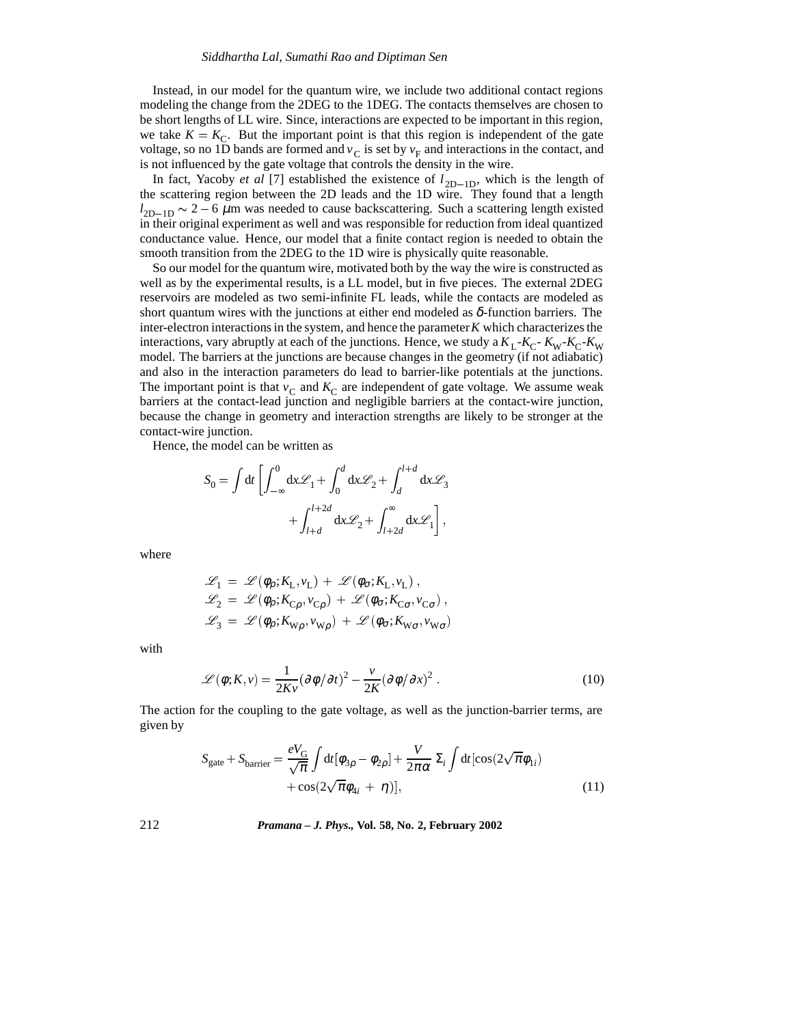Instead, in our model for the quantum wire, we include two additional contact regions modeling the change from the 2DEG to the 1DEG. The contacts themselves are chosen to be short lengths of LL wire. Since, interactions are expected to be important in this region, we take  $K = K_C$ . But the important point is that this region is independent of the gate voltage, so no 1D bands are formed and  $v_C$  is set by  $v_F$  and interactions in the contact, and is not influenced by the gate voltage that controls the density in the wire.

In fact, Yacoby *et al* [7] established the existence of  $l_{2D-1D}$ , which is the length of the scattering region between the 2D leads and the 1D wire. They found that a length  $l_{\text{2D-1D}} \sim 2 - 6 \,\mu \text{m}$  was needed to cause backscattering. Such a scattering length existed in their original experiment as well and was responsible for reduction from ideal quantized conductance value. Hence, our model that a finite contact region is needed to obtain the smooth transition from the 2DEG to the 1D wire is physically quite reasonable.

So our model for the quantum wire, motivated both by the way the wire is constructed as well as by the experimental results, is a LL model, but in five pieces. The external 2DEG reservoirs are modeled as two semi-infinite FL leads, while the contacts are modeled as short quantum wires with the junctions at either end modeled as δ-function barriers. The inter-electron interactions in the system, and hence the parameter*K* which characterizes the interactions, vary abruptly at each of the junctions. Hence, we study a  $K_1$ - $K_C$ - $K_W$ - $K_C$ - $K_W$ model. The barriers at the junctions are because changes in the geometry (if not adiabatic) and also in the interaction parameters do lead to barrier-like potentials at the junctions. The important point is that  $v_C$  and  $K_C$  are independent of gate voltage. We assume weak barriers at the contact-lead junction and negligible barriers at the contact-wire junction, because the change in geometry and interaction strengths are likely to be stronger at the contact-wire junction.

Hence, the model can be written as

$$
S_0 = \int dt \left[ \int_{-\infty}^0 dx \mathcal{L}_1 + \int_0^d dx \mathcal{L}_2 + \int_d^{l+d} dx \mathcal{L}_3 + \int_{l+d}^{l+2d} dx \mathcal{L}_2 + \int_{l+2d}^{\infty} dx \mathcal{L}_1 \right],
$$

where

$$
\mathcal{L}_1 = \mathcal{L}(\phi_{\rho}; K_{\text{L}}, v_{\text{L}}) + \mathcal{L}(\phi_{\sigma}; K_{\text{L}}, v_{\text{L}}),
$$
  
\n
$$
\mathcal{L}_2 = \mathcal{L}(\phi_{\rho}; K_{\text{C}\rho}, v_{\text{C}\rho}) + \mathcal{L}(\phi_{\sigma}; K_{\text{C}\sigma}, v_{\text{C}\sigma}),
$$
  
\n
$$
\mathcal{L}_3 = \mathcal{L}(\phi_{\rho}; K_{\text{W}\rho}, v_{\text{W}\rho}) + \mathcal{L}(\phi_{\sigma}; K_{\text{W}\sigma}, v_{\text{W}\sigma})
$$

with

$$
\mathcal{L}(\phi; K, v) = \frac{1}{2Kv} (\partial \phi / \partial t)^2 - \frac{v}{2K} (\partial \phi / \partial x)^2.
$$
 (10)

The action for the coupling to the gate voltage, as well as the junction-barrier terms, are given by

$$
S_{\text{gate}} + S_{\text{barrier}} = \frac{eV_{\text{G}}}{\sqrt{\pi}} \int dt [\phi_{3\rho} - \phi_{2\rho}] + \frac{V}{2\pi\alpha} \Sigma_i \int dt [\cos(2\sqrt{\pi}\phi_{1i}) + \cos(2\sqrt{\pi}\phi_{4i} + \eta)], \qquad (11)
$$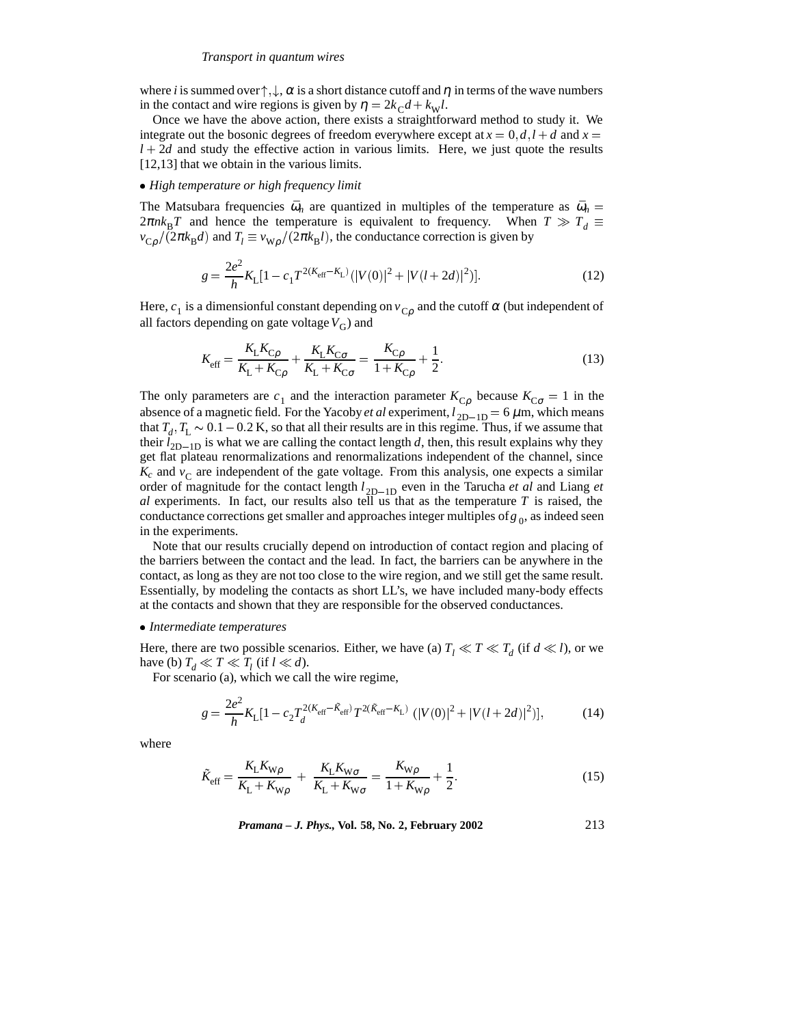where *i* is summed over  $\uparrow, \downarrow, \alpha$  is a short distance cutoff and  $\eta$  in terms of the wave numbers in the contact and wire regions is given by  $\eta = 2k_C d + k_W l$ .

Once we have the above action, there exists a straightforward method to study it. We integrate out the bosonic degrees of freedom everywhere except at  $x = 0, d, l + d$  and  $x =$  $l + 2d$  and study the effective action in various limits. Here, we just quote the results [12,13] that we obtain in the various limits.

# *High temperature or high frequency limit*

The Matsubara frequencies  $\bar{\omega}_n$  are quantized in multiples of the temperature as  $\bar{\omega}_n$  =  $2\pi n k_B T$  and hence the temperature is equivalent to frequency. When  $T \gg T_d \equiv$  $v_{\text{C}_0}/(2\pi k_\text{B}d)$  and  $T_l \equiv v_{\text{W}_0}/(2\pi k_\text{B}l)$ , the conductance correction is given by

$$
g = \frac{2e^2}{h} K_{\rm L} [1 - c_1 T^{2(K_{\rm eff} - K_{\rm L})} (|V(0)|^2 + |V(l + 2d)|^2)].
$$
 (12)

Here,  $c_1$  is a dimensionful constant depending on  $v_{Co}$  and the cutoff  $\alpha$  (but independent of all factors depending on gate voltage  $V_G$ ) and

$$
K_{\text{eff}} = \frac{K_{\text{L}} K_{\text{C}\rho}}{K_{\text{L}} + K_{\text{C}\rho}} + \frac{K_{\text{L}} K_{\text{C}\sigma}}{K_{\text{L}} + K_{\text{C}\sigma}} = \frac{K_{\text{C}\rho}}{1 + K_{\text{C}\rho}} + \frac{1}{2}.
$$
 (13)

The only parameters are  $c_1$  and the interaction parameter  $K_{C\rho}$  because  $K_{C\sigma} = 1$  in the absence of a magnetic field. For the Yacoby *et al* experiment,  $l_{2D-1D} = 6 \mu m$ , which means that  $T_d$ ,  $T_L \sim 0.1 - 0.2$  K, so that all their results are in this regime. Thus, if we assume that their  $l_{2D-1D}$  is what we are calling the contact length *d*, then, this result explains why they get flat plateau renormalizations and renormalizations independent of the channel, since  $K_c$  and  $v_c$  are independent of the gate voltage. From this analysis, one expects a similar order of magnitude for the contact length  $l_{2D-1D}$  even in the Tarucha *et al* and Liang *et al* experiments. In fact, our results also tell us that as the temperature *T* is raised, the conductance corrections get smaller and approaches integer multiples of  $g_0$ , as indeed seen in the experiments.

Note that our results crucially depend on introduction of contact region and placing of the barriers between the contact and the lead. In fact, the barriers can be anywhere in the contact, as long as they are not too close to the wire region, and we still get the same result. Essentially, by modeling the contacts as short LL's, we have included many-body effects at the contacts and shown that they are responsible for the observed conductances.

#### *Intermediate temperatures*

Here, there are two possible scenarios. Either, we have (a)  $T_l \ll T \ll T_d$  (if  $d \ll l$ ), or we have (b)  $T_d \ll T \ll T_l$  (if  $l \ll d$ ).

For scenario (a), which we call the wire regime,

$$
g = \frac{2e^2}{h} K_{\rm L} [1 - c_2 T_d^{2(K_{\rm eff} - \tilde{K}_{\rm eff})} T^{2(\tilde{K}_{\rm eff} - K_{\rm L})} (|V(0)|^2 + |V(l + 2d)|^2)],\tag{14}
$$

where

$$
\tilde{K}_{\text{eff}} = \frac{K_{\text{L}} K_{\text{W}\rho}}{K_{\text{L}} + K_{\text{W}\rho}} + \frac{K_{\text{L}} K_{\text{W}\sigma}}{K_{\text{L}} + K_{\text{W}\sigma}} = \frac{K_{\text{W}\rho}}{1 + K_{\text{W}\rho}} + \frac{1}{2}.
$$
\n(15)

*Pramana – J. Phys.,* **Vol. 58, No. 2, February 2002** 213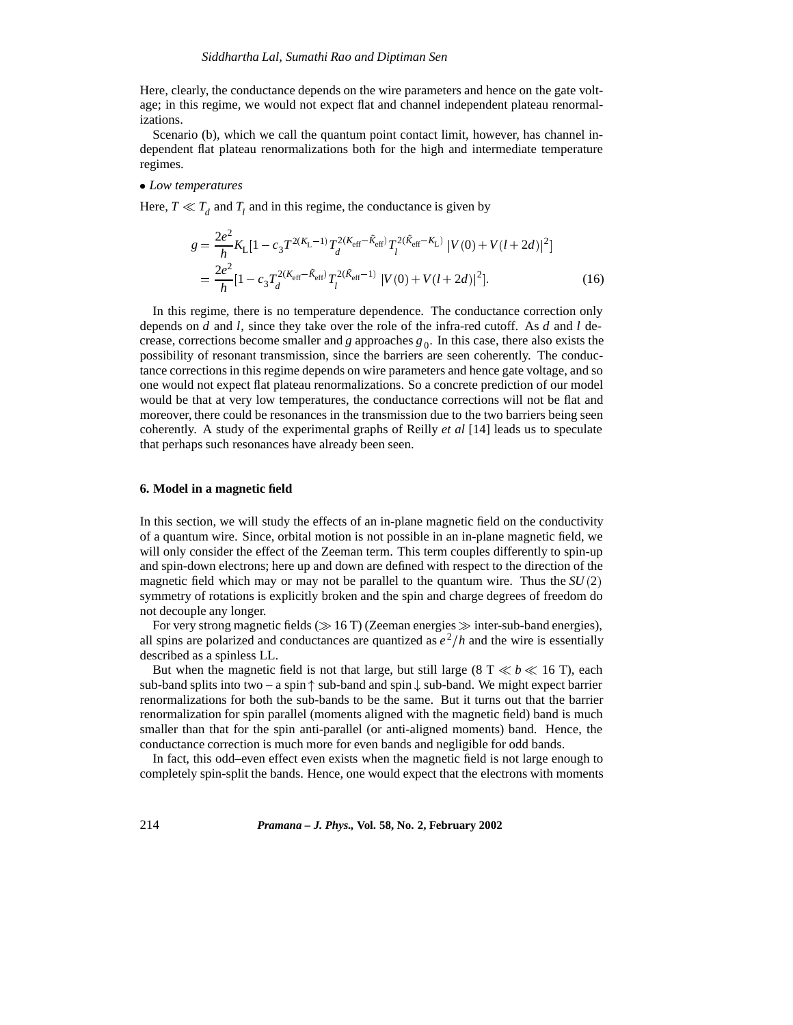Here, clearly, the conductance depends on the wire parameters and hence on the gate voltage; in this regime, we would not expect flat and channel independent plateau renormalizations.

Scenario (b), which we call the quantum point contact limit, however, has channel independent flat plateau renormalizations both for the high and intermediate temperature regimes.

#### *Low temperatures*

Here,  $T \ll T_d$  and  $T_l$  and in this regime, the conductance is given by

$$
g = \frac{2e^2}{h} K_{\rm L} [1 - c_3 T^{2(K_{\rm L}-1)} T_d^{2(K_{\rm eff}-\tilde{K}_{\rm eff})} T_l^{2(\tilde{K}_{\rm eff}-K_{\rm L})} |V(0) + V(l+2d)|^2]
$$
  
= 
$$
\frac{2e^2}{h} [1 - c_3 T_d^{2(K_{\rm eff}-\tilde{K}_{\rm eff})} T_l^{2(\tilde{K}_{\rm eff}-1)} |V(0) + V(l+2d)|^2].
$$
 (16)

In this regime, there is no temperature dependence. The conductance correction only depends on *d* and *l*, since they take over the role of the infra-red cutoff. As *d* and *l* decrease, corrections become smaller and *g* approaches  $g<sub>0</sub>$ . In this case, there also exists the possibility of resonant transmission, since the barriers are seen coherently. The conductance corrections in this regime depends on wire parameters and hence gate voltage, and so one would not expect flat plateau renormalizations. So a concrete prediction of our model would be that at very low temperatures, the conductance corrections will not be flat and moreover, there could be resonances in the transmission due to the two barriers being seen coherently. A study of the experimental graphs of Reilly *et al* [14] leads us to speculate that perhaps such resonances have already been seen.

#### **6. Model in a magnetic field**

In this section, we will study the effects of an in-plane magnetic field on the conductivity of a quantum wire. Since, orbital motion is not possible in an in-plane magnetic field, we will only consider the effect of the Zeeman term. This term couples differently to spin-up and spin-down electrons; here up and down are defined with respect to the direction of the magnetic field which may or may not be parallel to the quantum wire. Thus the *SU* (2) symmetry of rotations is explicitly broken and the spin and charge degrees of freedom do not decouple any longer.

For very strong magnetic fields  $(\gg 16 \text{ T})$  (Zeeman energies  $\gg$  inter-sub-band energies), all spins are polarized and conductances are quantized as  $e^2/h$  and the wire is essentially described as a spinless LL.

But when the magnetic field is not that large, but still large (8 T  $\ll b \ll 16$  T), each sub-band splits into two – a spin  $\uparrow$  sub-band and spin  $\downarrow$  sub-band. We might expect barrier renormalizations for both the sub-bands to be the same. But it turns out that the barrier renormalization for spin parallel (moments aligned with the magnetic field) band is much smaller than that for the spin anti-parallel (or anti-aligned moments) band. Hence, the conductance correction is much more for even bands and negligible for odd bands.

In fact, this odd–even effect even exists when the magnetic field is not large enough to completely spin-split the bands. Hence, one would expect that the electrons with moments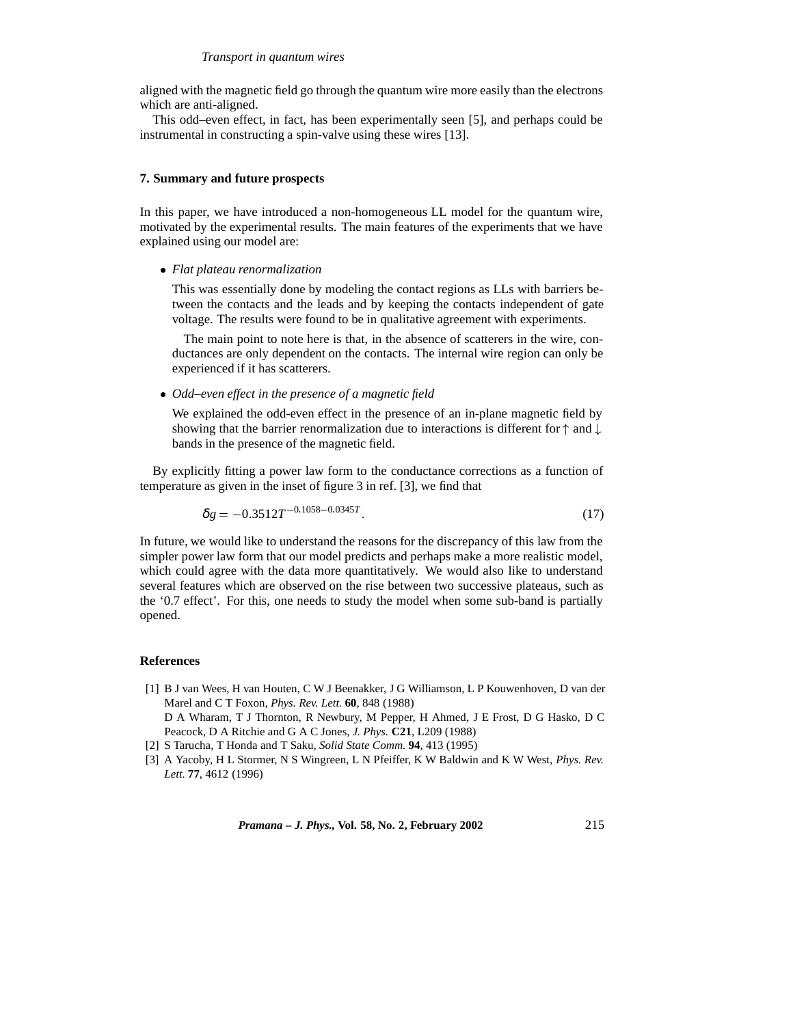aligned with the magnetic field go through the quantum wire more easily than the electrons which are anti-aligned.

This odd–even effect, in fact, has been experimentally seen [5], and perhaps could be instrumental in constructing a spin-valve using these wires [13].

# **7. Summary and future prospects**

In this paper, we have introduced a non-homogeneous LL model for the quantum wire, motivated by the experimental results. The main features of the experiments that we have explained using our model are:

*Flat plateau renormalization*

This was essentially done by modeling the contact regions as LLs with barriers between the contacts and the leads and by keeping the contacts independent of gate voltage. The results were found to be in qualitative agreement with experiments.

The main point to note here is that, in the absence of scatterers in the wire, conductances are only dependent on the contacts. The internal wire region can only be experienced if it has scatterers.

#### *Odd–even effect in the presence of a magnetic field*

We explained the odd-even effect in the presence of an in-plane magnetic field by showing that the barrier renormalization due to interactions is different for  $\uparrow$  and  $\downarrow$ bands in the presence of the magnetic field.

By explicitly fitting a power law form to the conductance corrections as a function of temperature as given in the inset of figure 3 in ref. [3], we find that

$$
\delta g = -0.3512T^{-0.1058 - 0.0345T}.
$$
\n(17)

In future, we would like to understand the reasons for the discrepancy of this law from the simpler power law form that our model predicts and perhaps make a more realistic model, which could agree with the data more quantitatively. We would also like to understand several features which are observed on the rise between two successive plateaus, such as the '0.7 effect'. For this, one needs to study the model when some sub-band is partially opened.

#### **References**

- [1] B J van Wees, H van Houten, C W J Beenakker, J G Williamson, L P Kouwenhoven, D van der Marel and C T Foxon, *Phys. Rev. Lett.* **60**, 848 (1988) D A Wharam, T J Thornton, R Newbury, M Pepper, H Ahmed, J E Frost, D G Hasko, D C Peacock, D A Ritchie and G A C Jones, *J. Phys.* **C21**, L209 (1988)
- [2] S Tarucha, T Honda and T Saku, *Solid State Comm.* **94**, 413 (1995)
- [3] A Yacoby, H L Stormer, N S Wingreen, L N Pfeiffer, K W Baldwin and K W West, *Phys. Rev. Lett.* **77**, 4612 (1996)